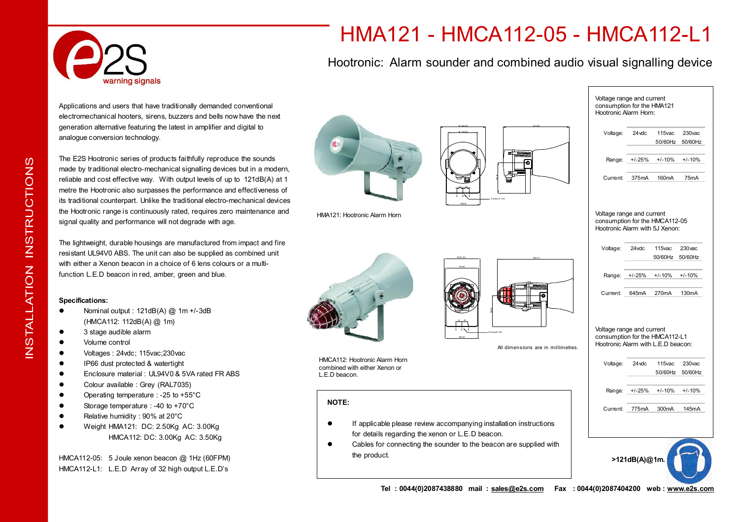

# HMA121 - HMCA112-05 - HMCA112-L1

Hootronic: Alarm sounder and combined audio visual signalling device

Applications and users that have traditionally demanded conventional electromechanical hooters, sirens, buzzers and bells now have the next generation alternative featuring the latest in amplifier and digital to analogue conversion technology.

The E2S Hootronic series of products faithfully reproduce the sounds made by traditional electro-mechanical signalling devices but in a modern, reliable and cost effective way. With output levels of up to 121dB(A) at 1 metre the Hootronic also surpasses the performance and effectiveness of its traditional counterpart. Unlike the traditional electro-mechanical devices the Hootronic range is continuously rated, requires zero maintenance and signal quality and performance will not degrade with age.

The lightweight, durable housings are manufactured from impact and fire resistant UL94V0 ABS. The unit can also be supplied as combined unit with either a Xenon beacon in a choice of 6 lens colours or a multifunction L.E.D beacon in red, amber, green and blue.

### **Specifications:**

- l Nominal output : 121dB(A) @ 1m +/-3dB (HMCA112: 112dB(A) @ 1m)
- 3 stage audible alarm
- Volume control
- Voltages : 24vdc: 115vac: 230 vac
- **•** IP66 dust protected & watertight
- Enclosure material : UL94V0 & 5VA rated FR ABS
- Colour available : Grey (RAL7035)
- $\bullet$  Operating temperature : -25 to +55 $\degree$ C
- $\bullet$  Storage temperature : -40 to +70 $^{\circ}$ C
- Relative humidity : 90% at 20°C
- l Weight HMA121: DC: 2.50Kg AC: 3.00Kg HMCA112: DC: 3.00Kg AC: 3.50Kg

HMCA112-05: 5 Joule xenon beacon @ 1Hz (60FPM) HMCA112-L1: L.E.D Array of 32 high output L.E.D's



HMA121: Hootronic Alarm Horn



166,00

170,60 160,00 385,10 166,00 3 HolesØ 7.00 Ø181,00

All dimensions are in mil limetres.

HMCA112: Hootronic Alarm Horn combined with either Xenon or L.E.D beacon.

## **NOTE:**

- $\bullet$  If applicable please review accompanying installation instructions for details regarding the xenon or L.E.D beacon.
- Cables for connecting the sounder to the beacon are supplied with the product.



 $\underline{\mathsf{Z}}$  . ഗ TA L $\overline{\phantom{a}}$ 

ATIO

Z<br>Z

ഗ  $\vdash$  $\alpha$  $\Box$  $\mathsf{C}$ O<br>F Z ഗ